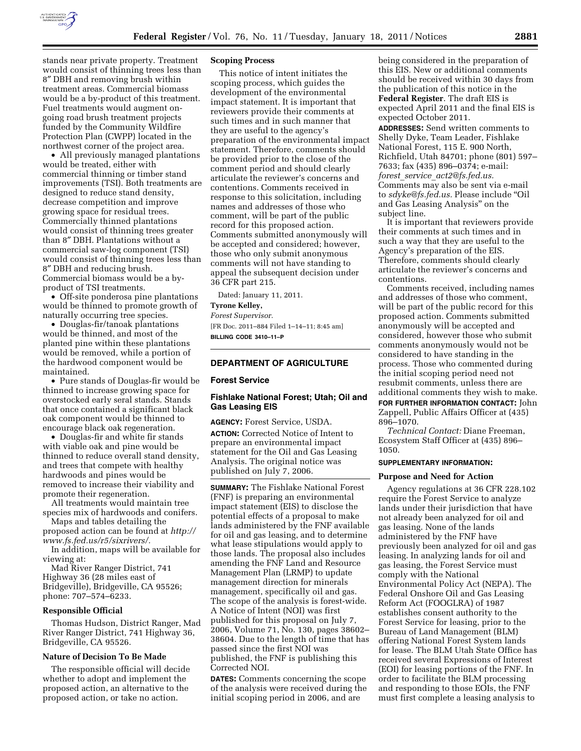

stands near private property. Treatment would consist of thinning trees less than 8″ DBH and removing brush within treatment areas. Commercial biomass would be a by-product of this treatment. Fuel treatments would augment ongoing road brush treatment projects funded by the Community Wildfire Protection Plan (CWPP) located in the northwest corner of the project area.

• All previously managed plantations would be treated, either with commercial thinning or timber stand improvements (TSI). Both treatments are designed to reduce stand density, decrease competition and improve growing space for residual trees. Commercially thinned plantations would consist of thinning trees greater than 8″ DBH. Plantations without a commercial saw-log component (TSI) would consist of thinning trees less than 8″ DBH and reducing brush. Commercial biomass would be a byproduct of TSI treatments.

• Off-site ponderosa pine plantations would be thinned to promote growth of naturally occurring tree species.

• Douglas-fir/tanoak plantations would be thinned, and most of the planted pine within these plantations would be removed, while a portion of the hardwood component would be maintained.

• Pure stands of Douglas-fir would be thinned to increase growing space for overstocked early seral stands. Stands that once contained a significant black oak component would be thinned to encourage black oak regeneration.

• Douglas-fir and white fir stands with viable oak and pine would be thinned to reduce overall stand density, and trees that compete with healthy hardwoods and pines would be removed to increase their viability and promote their regeneration.

All treatments would maintain tree species mix of hardwoods and conifers.

Maps and tables detailing the proposed action can be found at *[http://](http://www.fs.fed.us/r5/sixrivers/) [www.fs.fed.us/r5/sixrivers/.](http://www.fs.fed.us/r5/sixrivers/)* 

In addition, maps will be available for viewing at:

Mad River Ranger District, 741 Highway 36 (28 miles east of Bridgeville), Bridgeville, CA 95526; phone: 707–574–6233.

### **Responsible Official**

Thomas Hudson, District Ranger, Mad River Ranger District, 741 Highway 36, Bridgeville, CA 95526.

### **Nature of Decision To Be Made**

The responsible official will decide whether to adopt and implement the proposed action, an alternative to the proposed action, or take no action.

#### **Scoping Process**

This notice of intent initiates the scoping process, which guides the development of the environmental impact statement. It is important that reviewers provide their comments at such times and in such manner that they are useful to the agency's preparation of the environmental impact statement. Therefore, comments should be provided prior to the close of the comment period and should clearly articulate the reviewer's concerns and contentions. Comments received in response to this solicitation, including names and addresses of those who comment, will be part of the public record for this proposed action. Comments submitted anonymously will be accepted and considered; however, those who only submit anonymous comments will not have standing to appeal the subsequent decision under 36 CFR part 215.

Dated: January 11, 2011.

### **Tyrone Kelley,**

*Forest Supervisor.*  [FR Doc. 2011–884 Filed 1–14–11; 8:45 am] **BILLING CODE 3410–11–P** 

### **DEPARTMENT OF AGRICULTURE**

### **Forest Service**

## **Fishlake National Forest; Utah; Oil and Gas Leasing EIS**

**AGENCY:** Forest Service, USDA.

**ACTION:** Corrected Notice of Intent to prepare an environmental impact statement for the Oil and Gas Leasing Analysis. The original notice was published on July 7, 2006.

**SUMMARY:** The Fishlake National Forest (FNF) is preparing an environmental impact statement (EIS) to disclose the potential effects of a proposal to make lands administered by the FNF available for oil and gas leasing, and to determine what lease stipulations would apply to those lands. The proposal also includes amending the FNF Land and Resource Management Plan (LRMP) to update management direction for minerals management, specifically oil and gas. The scope of the analysis is forest-wide. A Notice of Intent (NOI) was first published for this proposal on July 7, 2006, Volume 71, No. 130, pages 38602– 38604. Due to the length of time that has passed since the first NOI was published, the FNF is publishing this Corrected NOI.

**DATES:** Comments concerning the scope of the analysis were received during the initial scoping period in 2006, and are

being considered in the preparation of this EIS. New or additional comments should be received within 30 days from the publication of this notice in the **Federal Register**. The draft EIS is expected April 2011 and the final EIS is expected October 2011.

**ADDRESSES:** Send written comments to Shelly Dyke, Team Leader, Fishlake National Forest, 115 E. 900 North, Richfield, Utah 84701; phone (801) 597– 7633; fax (435) 896–0374; e-mail: *forest*\_*service*\_*[act2@fs.fed.us.](mailto:forest_service_act2@fs.fed.us)*  Comments may also be sent via e-mail to *[sdyke@fs.fed.us.](mailto:sdyke@fs.fed.us)* Please include ''Oil and Gas Leasing Analysis'' on the subject line.

It is important that reviewers provide their comments at such times and in such a way that they are useful to the Agency's preparation of the EIS. Therefore, comments should clearly articulate the reviewer's concerns and contentions.

Comments received, including names and addresses of those who comment, will be part of the public record for this proposed action. Comments submitted anonymously will be accepted and considered, however those who submit comments anonymously would not be considered to have standing in the process. Those who commented during the initial scoping period need not resubmit comments, unless there are additional comments they wish to make.

**FOR FURTHER INFORMATION CONTACT:** John Zappell, Public Affairs Officer at (435) 896–1070.

*Technical Contact:* Diane Freeman, Ecosystem Staff Officer at (435) 896– 1050.

### **SUPPLEMENTARY INFORMATION:**

#### **Purpose and Need for Action**

Agency regulations at 36 CFR 228.102 require the Forest Service to analyze lands under their jurisdiction that have not already been analyzed for oil and gas leasing. None of the lands administered by the FNF have previously been analyzed for oil and gas leasing. In analyzing lands for oil and gas leasing, the Forest Service must comply with the National Environmental Policy Act (NEPA). The Federal Onshore Oil and Gas Leasing Reform Act (FOOGLRA) of 1987 establishes consent authority to the Forest Service for leasing, prior to the Bureau of Land Management (BLM) offering National Forest System lands for lease. The BLM Utah State Office has received several Expressions of Interest (EOI) for leasing portions of the FNF. In order to facilitate the BLM processing and responding to those EOIs, the FNF must first complete a leasing analysis to